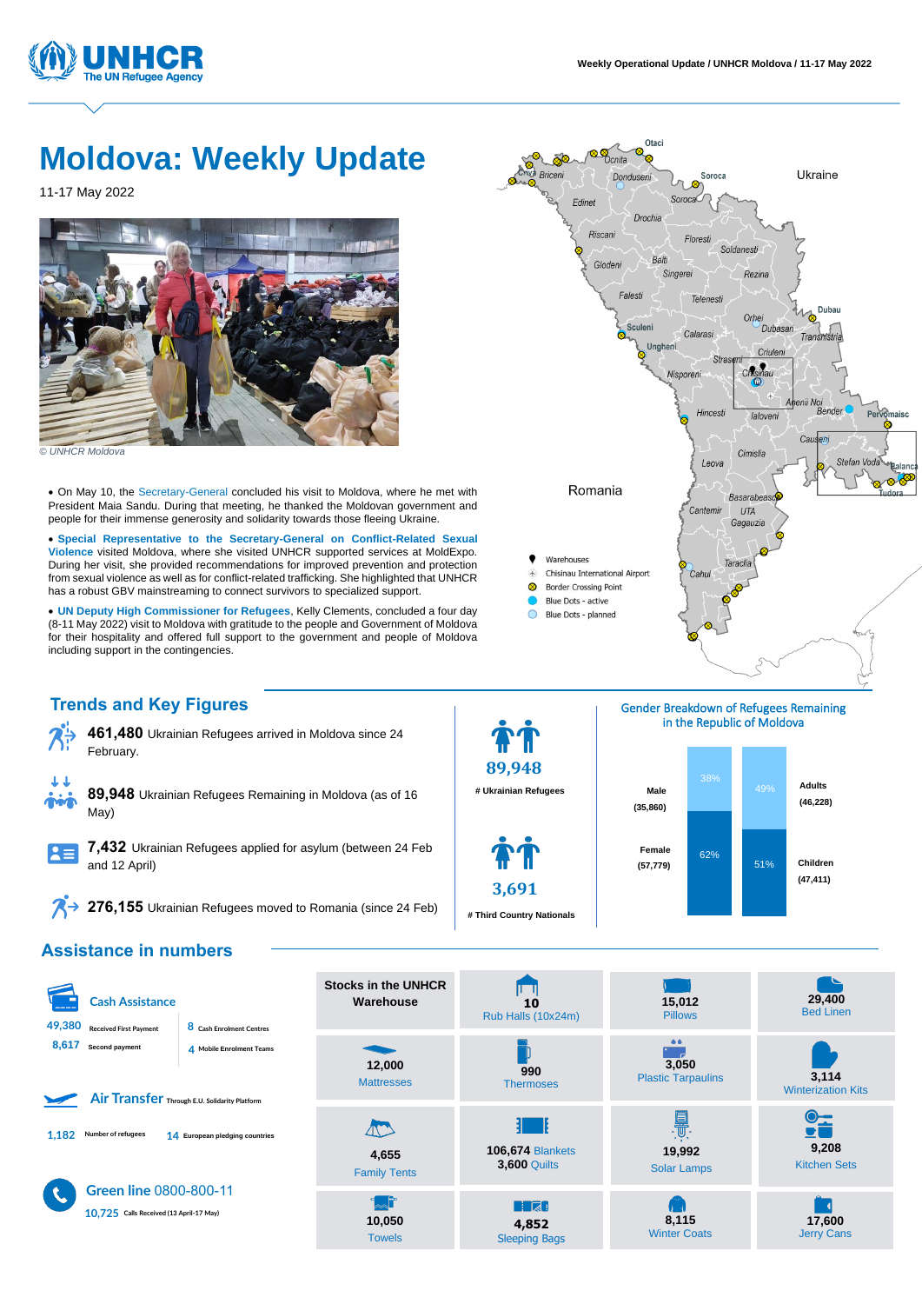

# **Moldova: Weekly Update**

11-17 May 2022



*© UNHCR Moldova* 

• On May 10, the Secretary-General concluded his visit to Moldova, where he met with President Maia Sandu. During that meeting, he thanked the Moldovan government and people for their immense generosity and solidarity towards those fleeing Ukraine.

• **Special Representative to the Secretary-General on Conflict-Related Sexual Violence** visited Moldova, where she visited UNHCR supported services at MoldExpo. During her visit, she provided recommendations for improved prevention and protection from sexual violence as well as for conflict-related trafficking. She highlighted that UNHCR has a robust GBV mainstreaming to connect survivors to specialized support.

• **UN Deputy High Commissioner for Refugees**, Kelly Clements, concluded a four day (8-11 May 2022) visit to Moldova with gratitude to the people and Government of Moldova for their hospitality and offered full support to the government and people of Moldova including support in the contingencies.

**Trends and Key Figures**



**461,480** Ukrainian Refugees arrived in Moldova since 24 February.



**89,948** Ukrainian Refugees Remaining in Moldova (as of 16 May)



**7,432** Ukrainian Refugees applied for asylum (between 24 Feb and 12 April)

<sup>2</sup> 276,155 Ukrainian Refugees moved to Romania (since 24 Feb)

**89,948**

**# Ukrainian Refugees**

**3,691**

**# Third Country Nationals** 







## **Assistance in numbers**